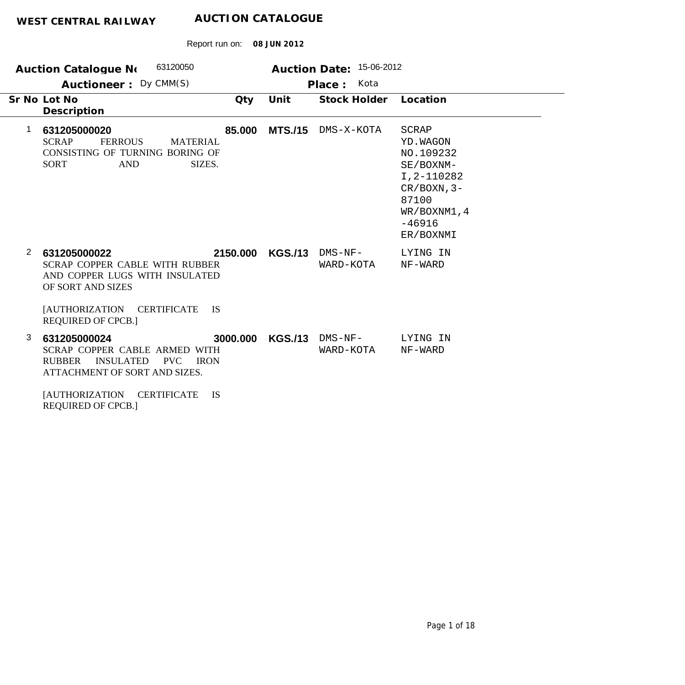| 63120050<br><b>Auction Catalogue No</b><br>Auctioneer: Dy CMM(S) |                                                                                                                                                                                                             | 15-06-2012<br><b>Auction Date:</b><br>Kota<br>Place: |                |                        |                                                                                                                                       |  |
|------------------------------------------------------------------|-------------------------------------------------------------------------------------------------------------------------------------------------------------------------------------------------------------|------------------------------------------------------|----------------|------------------------|---------------------------------------------------------------------------------------------------------------------------------------|--|
|                                                                  | Sr No Lot No<br>Description                                                                                                                                                                                 | Qty                                                  | Unit           | <b>Stock Holder</b>    | Location                                                                                                                              |  |
| 1                                                                | 631205000020<br><b>SCRAP</b><br><b>FERROUS</b><br><b>MATERIAL</b><br>CONSISTING OF TURNING BORING OF<br><b>AND</b><br><b>SORT</b><br>SIZES.                                                                 | 85,000                                               | <b>MTS./15</b> | DMS-X-KOTA             | <b>SCRAP</b><br>YD. WAGON<br>NO.109232<br>SE/BOXNM-<br>I, 2-110282<br>$CR/BOXN, 3-$<br>87100<br>WR/BOXNM1, 4<br>$-46916$<br>ER/BOXNMI |  |
| 2                                                                | 631205000022<br>SCRAP COPPER CABLE WITH RUBBER<br>AND COPPER LUGS WITH INSULATED<br>OF SORT AND SIZES<br><b>JAUTHORIZATION</b><br><b>CERTIFICATE</b><br><b>IS</b><br><b>REQUIRED OF CPCB.]</b>              | 2150.000                                             | <b>KGS./13</b> | $DNS-NF-$<br>WARD-KOTA | LYING IN<br>NF-WARD                                                                                                                   |  |
| 3                                                                | 631205000024<br>SCRAP COPPER CABLE ARMED WITH<br><b>RUBBER</b><br><b>INSULATED</b><br><b>PVC</b><br><b>IRON</b><br>ATTACHMENT OF SORT AND SIZES.<br><b>CERTIFICATE</b><br><b>IS</b><br><b>AUTHORIZATION</b> | 3000.000                                             | <b>KGS./13</b> | $DMS-NF-$<br>WARD-KOTA | LYING IN<br>NF-WARD                                                                                                                   |  |

Report run on: **08 JUN 2012**

REQUIRED OF CPCB.]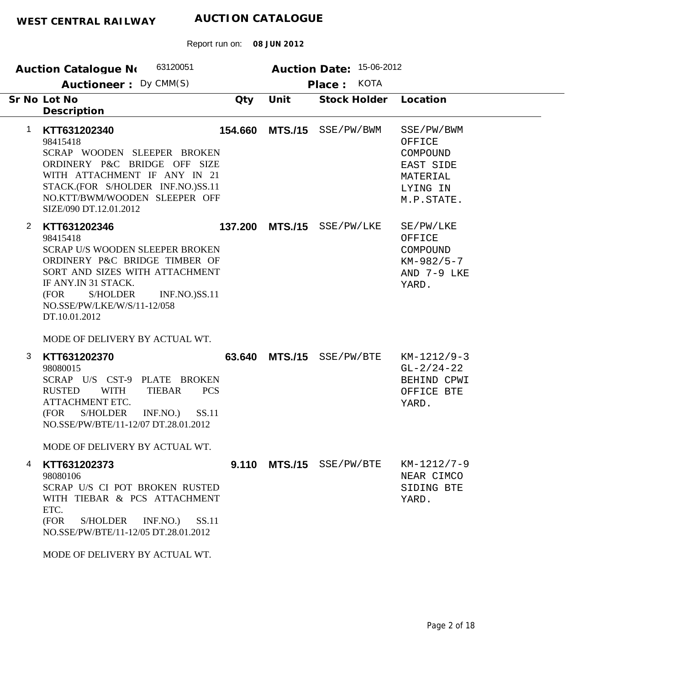| 63120051<br><b>Auction Catalogue No</b>                                                                                                                                                                                                                                    |         |                | Auction Date: 15-06-2012        |                                                                                     |
|----------------------------------------------------------------------------------------------------------------------------------------------------------------------------------------------------------------------------------------------------------------------------|---------|----------------|---------------------------------|-------------------------------------------------------------------------------------|
| Auctioneer: Dy CMM(S)                                                                                                                                                                                                                                                      |         |                | <b>KOTA</b><br>Place:           |                                                                                     |
| Sr No Lot No<br>Description                                                                                                                                                                                                                                                | Qty     | Unit           | <b>Stock Holder</b>             | Location                                                                            |
| $\mathbf 1$<br>KTT631202340<br>98415418<br>SCRAP WOODEN SLEEPER BROKEN<br>ORDINERY P&C BRIDGE OFF SIZE<br>WITH ATTACHMENT IF ANY IN 21<br>STACK.(FOR S/HOLDER INF.NO.)SS.11<br>NO.KTT/BWM/WOODEN SLEEPER OFF<br>SIZE/090 DT.12.01.2012                                     | 154.660 | <b>MTS./15</b> | SSE/PW/BWM                      | SSE/PW/BWM<br>OFFICE<br>COMPOUND<br>EAST SIDE<br>MATERIAL<br>LYING IN<br>M.P.STATE. |
| $\overline{2}$<br>KTT631202346<br>98415418<br><b>SCRAP U/S WOODEN SLEEPER BROKEN</b><br>ORDINERY P&C BRIDGE TIMBER OF<br>SORT AND SIZES WITH ATTACHMENT<br>IF ANY.IN 31 STACK.<br>S/HOLDER<br><b>INF.NO.)SS.11</b><br>(FOR<br>NO.SSE/PW/LKE/W/S/11-12/058<br>DT.10.01.2012 | 137.200 | <b>MTS./15</b> | SSE/PW/LKE                      | SE/PW/LKE<br>OFFICE<br>COMPOUND<br>$KM-982/5-7$<br>AND 7-9 LKE<br>YARD.             |
| MODE OF DELIVERY BY ACTUAL WT.                                                                                                                                                                                                                                             |         |                |                                 |                                                                                     |
| 3<br>KTT631202370<br>98080015<br>SCRAP U/S CST-9 PLATE BROKEN<br><b>TIEBAR</b><br><b>PCS</b><br><b>RUSTED</b><br><b>WITH</b><br>ATTACHMENT ETC.<br>(FOR<br>S/HOLDER<br>SS.11<br>INF.NO.)<br>NO.SSE/PW/BTE/11-12/07 DT.28.01.2012                                           | 63.640  |                | MTS./15 SSE/PW/BTE              | $KM-1212/9-3$<br>$GL-2/24-22$<br>BEHIND CPWI<br>OFFICE BTE<br>YARD.                 |
| MODE OF DELIVERY BY ACTUAL WT.                                                                                                                                                                                                                                             |         |                |                                 |                                                                                     |
| 4<br>KTT631202373<br>98080106<br>SCRAP U/S CI POT BROKEN RUSTED<br>WITH TIEBAR & PCS ATTACHMENT<br>ETC.<br>(FOR<br>S/HOLDER<br>INF.NO.<br>SS.11<br>NO.SSE/PW/BTE/11-12/05 DT.28.01.2012<br>MODE OF DELIVERY BY ACTUAL WT.                                                  |         |                | <b>9.110 MTS./15</b> SSE/PW/BTE | KM-1212/7-9<br>NEAR CIMCO<br>SIDING BTE<br>YARD.                                    |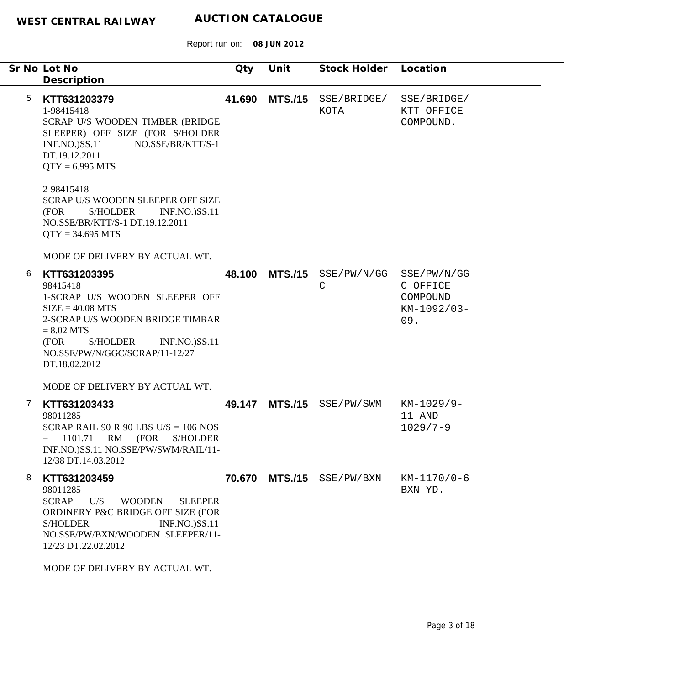Report run on: **08 JUN 2012**

|                 | Sr No Lot No<br>Description                                                                                                                                                                                                                | Qty    | Unit | Stock Holder                       | Location                                                  |
|-----------------|--------------------------------------------------------------------------------------------------------------------------------------------------------------------------------------------------------------------------------------------|--------|------|------------------------------------|-----------------------------------------------------------|
| $5\phantom{.0}$ | KTT631203379<br>1-98415418<br>SCRAP U/S WOODEN TIMBER (BRIDGE<br>SLEEPER) OFF SIZE (FOR S/HOLDER<br><b>INF.NO.)SS.11</b><br>NO.SSE/BR/KTT/S-1<br>DT.19.12.2011<br>$QTY = 6.995 MTS$                                                        | 41.690 |      | MTS./15 SSE/BRIDGE/<br>KOTA        | SSE/BRIDGE/<br>KTT OFFICE<br>COMPOUND.                    |
|                 | 2-98415418<br>SCRAP U/S WOODEN SLEEPER OFF SIZE<br><b>S/HOLDER</b><br><b>INF.NO.)SS.11</b><br>(FOR<br>NO.SSE/BR/KTT/S-1 DT.19.12.2011<br>$QTY = 34.695 MTS$                                                                                |        |      |                                    |                                                           |
|                 | MODE OF DELIVERY BY ACTUAL WT.                                                                                                                                                                                                             |        |      |                                    |                                                           |
| 6               | KTT631203395<br>98415418<br>1-SCRAP U/S WOODEN SLEEPER OFF<br>$SIZE = 40.08 MTS$<br>2-SCRAP U/S WOODEN BRIDGE TIMBAR<br>$= 8.02$ MTS<br>(FOR<br><b>S/HOLDER</b><br><b>INF.NO.)SS.11</b><br>NO.SSE/PW/N/GGC/SCRAP/11-12/27<br>DT.18.02.2012 | 48.100 |      | MTS./15 SSE/PW/N/GG<br>$\mathsf C$ | SSE/PW/N/GG<br>C OFFICE<br>COMPOUND<br>KM-1092/03-<br>09. |
|                 | MODE OF DELIVERY BY ACTUAL WT.                                                                                                                                                                                                             |        |      |                                    |                                                           |
| 7               | KTT631203433<br>98011285<br>SCRAP RAIL 90 R 90 LBS U/S = $106$ NOS<br>RM<br>(FOR<br><b>S/HOLDER</b><br>1101.71<br>INF.NO.)SS.11 NO.SSE/PW/SWM/RAIL/11-<br>12/38 DT.14.03.2012                                                              |        |      | 49.147 MTS./15 SSE/PW/SWM          | KM-1029/9-<br>11 AND<br>$1029/7 - 9$                      |
| 8               | KTT631203459<br>98011285<br><b>SCRAP</b><br><b>WOODEN</b><br><b>SLEEPER</b><br>U/S<br>ORDINERY P&C BRIDGE OFF SIZE (FOR<br><b>S/HOLDER</b><br><b>INF.NO.)SS.11</b><br>NO.SSE/PW/BXN/WOODEN SLEEPER/11-<br>12/23 DT.22.02.2012              |        |      | 70.670 MTS./15 SSE/PW/BXN          | $KM-1170/0-6$<br>BXN YD.                                  |
|                 | MODE OF DELIVERY BY ACTUAL WT.                                                                                                                                                                                                             |        |      |                                    |                                                           |

÷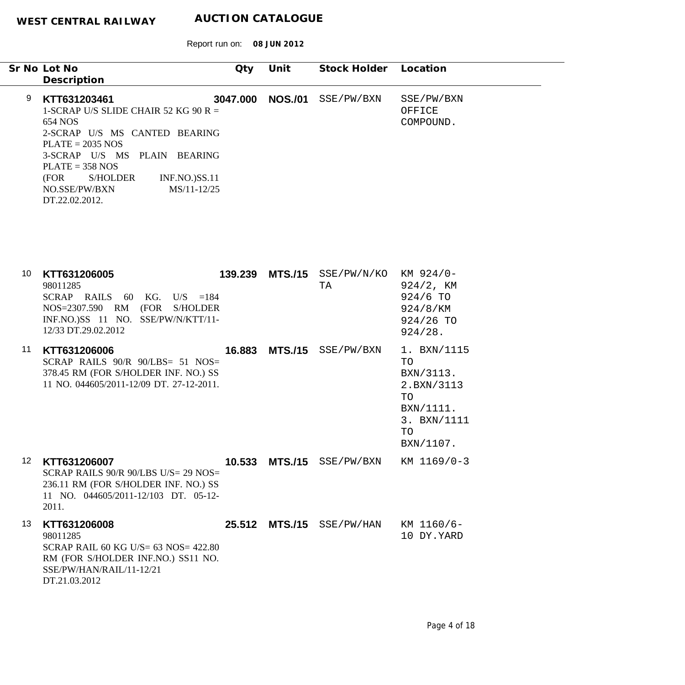|                  | Sr No Lot No<br>Description                                                                                                                                                                                                                                               | Qty      | Unit            | Stock Holder Location                 |                                                                                                   |
|------------------|---------------------------------------------------------------------------------------------------------------------------------------------------------------------------------------------------------------------------------------------------------------------------|----------|-----------------|---------------------------------------|---------------------------------------------------------------------------------------------------|
| 9                | KTT631203461<br>1-SCRAP U/S SLIDE CHAIR 52 KG 90 R =<br>654 NOS<br>2-SCRAP U/S MS CANTED BEARING<br>$PLATE = 2035 NOS$<br>3-SCRAP U/S MS PLAIN BEARING<br>$PLATE = 358 NOS$<br>(FOR<br>S/HOLDER<br><b>INF.NO.)SS.11</b><br>MS/11-12/25<br>NO.SSE/PW/BXN<br>DT.22.02.2012. | 3047.000 | <b>NOS./01</b>  | SSE/PW/BXN                            | SSE/PW/BXN<br>OFFICE<br>COMPOUND.                                                                 |
| 10               | KTT631206005<br>98011285<br>SCRAP RAILS 60 KG. U/S $=184$<br>NOS=2307.590 RM (FOR S/HOLDER<br>INF.NO.)SS 11 NO. SSE/PW/N/KTT/11-<br>12/33 DT.29.02.2012                                                                                                                   |          | 139.239 MTS./15 | SSE/PW/N/KO<br>TA                     | KM 924/0-<br>$924/2$ , KM<br>924/6 TO<br>924/8/KM<br>924/26 TO<br>924/28.                         |
| 11               | KTT631206006<br>SCRAP RAILS 90/R 90/LBS= 51 NOS=<br>378.45 RM (FOR S/HOLDER INF. NO.) SS<br>11 NO. 044605/2011-12/09 DT. 27-12-2011.                                                                                                                                      | 16.883   | <b>MTS./15</b>  | SSE/PW/BXN                            | 1. BXN/1115<br>TO<br>BXN/3113.<br>2.BXN/3113<br>TO<br>BXN/1111.<br>3. BXN/1111<br>TO<br>BXN/1107. |
| 12 <sup>12</sup> | KTT631206007<br>SCRAP RAILS 90/R 90/LBS U/S= 29 NOS=<br>236.11 RM (FOR S/HOLDER INF. NO.) SS<br>11 NO. 044605/2011-12/103 DT. 05-12-<br>2011.                                                                                                                             |          |                 | 10.533 MTS./15 SSE/PW/BXN KM 1169/0-3 |                                                                                                   |
| 13               | KTT631206008<br>98011285<br>SCRAP RAIL 60 KG U/S= 63 NOS= 422.80<br>RM (FOR S/HOLDER INF.NO.) SS11 NO.<br>SSE/PW/HAN/RAIL/11-12/21<br>DT.21.03.2012                                                                                                                       |          |                 | 25.512 MTS./15 SSE/PW/HAN             | KM 1160/6-<br>10 DY.YARD                                                                          |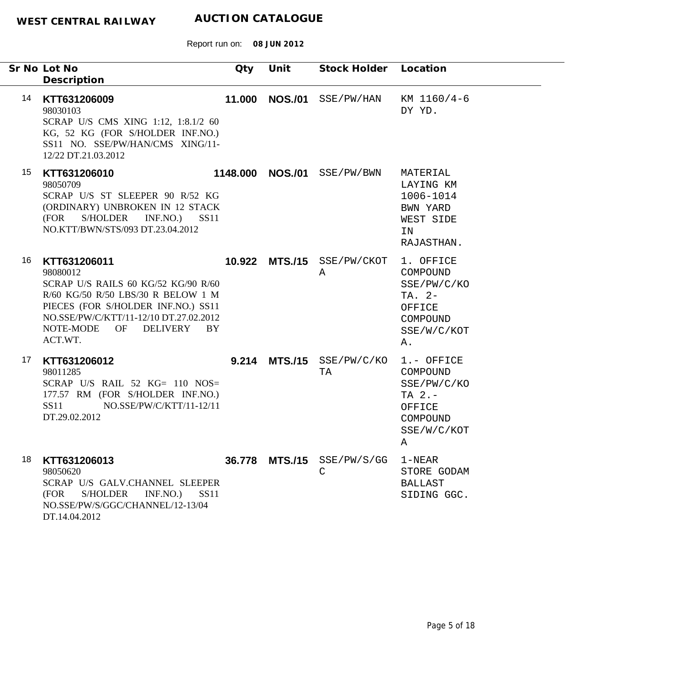|    | Sr No Lot No<br>Description                                                                                                                                                                                                        | Qty | Unit             | Stock Holder Location             |                                                                                              |
|----|------------------------------------------------------------------------------------------------------------------------------------------------------------------------------------------------------------------------------------|-----|------------------|-----------------------------------|----------------------------------------------------------------------------------------------|
| 14 | KTT631206009<br>98030103<br>SCRAP U/S CMS XING 1:12, 1:8.1/2 60<br>KG, 52 KG (FOR S/HOLDER INF.NO.)<br>SS11 NO. SSE/PW/HAN/CMS XING/11-<br>12/22 DT.21.03.2012                                                                     |     |                  | 11.000 NOS./01 SSE/PW/HAN         | KM 1160/4-6<br>DY YD.                                                                        |
| 15 | KTT631206010<br>98050709<br>SCRAP U/S ST SLEEPER 90 R/52 KG<br>(ORDINARY) UNBROKEN IN 12 STACK<br>S/HOLDER INF.NO.) SS11<br>(FOR<br>NO.KTT/BWN/STS/093 DT.23.04.2012                                                               |     | 1148.000 NOS./01 | SSE/PW/BWN                        | MATERIAL<br>LAYING KM<br>1006-1014<br>BWN YARD<br>WEST SIDE<br>IN<br>RAJASTHAN.              |
| 16 | KTT631206011<br>98080012<br>SCRAP U/S RAILS 60 KG/52 KG/90 R/60<br>R/60 KG/50 R/50 LBS/30 R BELOW 1 M<br>PIECES (FOR S/HOLDER INF.NO.) SS11<br>NO.SSE/PW/C/KTT/11-12/10 DT.27.02.2012<br>DELIVERY BY<br>NOTE-MODE<br>OF<br>ACT.WT. |     |                  | 10.922 MTS./15 SSE/PW/CKOT<br>A   | 1. OFFICE<br>COMPOUND<br>SSE/PW/C/KO<br>TA. 2-<br>OFFICE<br>COMPOUND<br>SSE/W/C/KOT<br>Α.    |
| 17 | KTT631206012<br>98011285<br>SCRAP U/S RAIL 52 KG= 110 NOS=<br>177.57 RM (FOR S/HOLDER INF.NO.)<br>NO.SSE/PW/C/KTT/11-12/11<br>SS11<br>DT.29.02.2012                                                                                |     |                  | $9.214$ MTS./15 SSE/PW/C/KO<br>TA | 1.- OFFICE<br>COMPOUND<br>SSE/PW/C/KO<br>TA $2. -$<br>OFFICE<br>COMPOUND<br>SSE/W/C/KOT<br>Α |
| 18 | KTT631206013<br>98050620<br>SCRAP U/S GALV.CHANNEL SLEEPER<br>(FOR<br>S/HOLDER INF.NO.) SS11<br>NO.SSE/PW/S/GGC/CHANNEL/12-13/04<br>DT.14.04.2012                                                                                  |     |                  | 36.778 MTS./15 SSE/PW/S/GG<br>C   | $1 - NEAR$<br>STORE GODAM<br>BALLAST<br>SIDING GGC.                                          |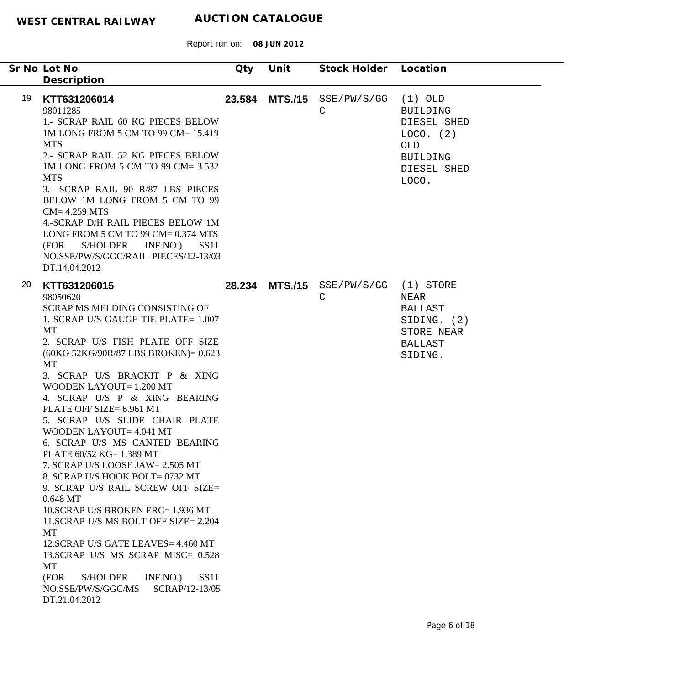|    | Sr No Lot No                                                                                                                                                                                                                                                                                                                                                                                                                                                                                                                                                                                                                                                                                                                                                                                                                                                    | Qty | Unit           | Stock Holder Location                     |                                                                                                                   |
|----|-----------------------------------------------------------------------------------------------------------------------------------------------------------------------------------------------------------------------------------------------------------------------------------------------------------------------------------------------------------------------------------------------------------------------------------------------------------------------------------------------------------------------------------------------------------------------------------------------------------------------------------------------------------------------------------------------------------------------------------------------------------------------------------------------------------------------------------------------------------------|-----|----------------|-------------------------------------------|-------------------------------------------------------------------------------------------------------------------|
| 19 | Description<br>KTT631206014<br>98011285<br>1.- SCRAP RAIL 60 KG PIECES BELOW<br>1M LONG FROM 5 CM TO 99 CM= 15.419<br><b>MTS</b><br>2.- SCRAP RAIL 52 KG PIECES BELOW<br>1M LONG FROM 5 CM TO 99 CM= 3.532<br><b>MTS</b><br>3.- SCRAP RAIL 90 R/87 LBS PIECES<br>BELOW 1M LONG FROM 5 CM TO 99<br>$CM = 4.259$ MTS<br>4.-SCRAP D/H RAIL PIECES BELOW 1M<br>LONG FROM 5 CM TO 99 CM= 0.374 MTS<br>S/HOLDER<br>INF.NO.)<br>(FOR<br>– SS11<br>NO.SSE/PW/S/GGC/RAIL PIECES/12-13/03<br>DT.14.04.2012                                                                                                                                                                                                                                                                                                                                                                |     | 23.584 MTS./15 | SSE/PW/S/GG<br>C                          | $(1)$ OLD<br><b>BUILDING</b><br>DIESEL SHED<br>LOCO. (2)<br><b>OLD</b><br><b>BUILDING</b><br>DIESEL SHED<br>LOCO. |
| 20 | KTT631206015<br>98050620<br>SCRAP MS MELDING CONSISTING OF<br>1. SCRAP U/S GAUGE TIE PLATE= 1.007<br>MT<br>2. SCRAP U/S FISH PLATE OFF SIZE<br>(60KG 52KG/90R/87 LBS BROKEN)= 0.623<br>MT<br>3. SCRAP U/S BRACKIT P & XING<br>WOODEN LAYOUT= 1.200 MT<br>4. SCRAP U/S P & XING BEARING<br>PLATE OFF SIZE= 6.961 MT<br>5. SCRAP U/S SLIDE CHAIR PLATE<br>WOODEN LAYOUT= 4.041 MT<br>6. SCRAP U/S MS CANTED BEARING<br>PLATE 60/52 KG= 1.389 MT<br>7. SCRAP U/S LOOSE JAW= 2.505 MT<br>8. SCRAP U/S HOOK BOLT= 0732 MT<br>9. SCRAP U/S RAIL SCREW OFF SIZE=<br>0.648 MT<br>10.SCRAP U/S BROKEN ERC= 1.936 MT<br>11. SCRAP U/S MS BOLT OFF SIZE= 2.204<br>MT<br>12.SCRAP U/S GATE LEAVES= 4.460 MT<br>13.SCRAP U/S MS SCRAP MISC= 0.528<br><b>MT</b><br>(FOR<br><b>S/HOLDER</b><br>INF.NO.<br><b>SS11</b><br>NO.SSE/PW/S/GGC/MS<br>SCRAP/12-13/05<br>DT.21.04.2012 |     |                | 28.234 MTS./15 SSE/PW/S/GG (1) STORE<br>C | NEAR<br><b>BALLAST</b><br>SIDING. (2)<br>STORE NEAR<br><b>BALLAST</b><br>SIDING.                                  |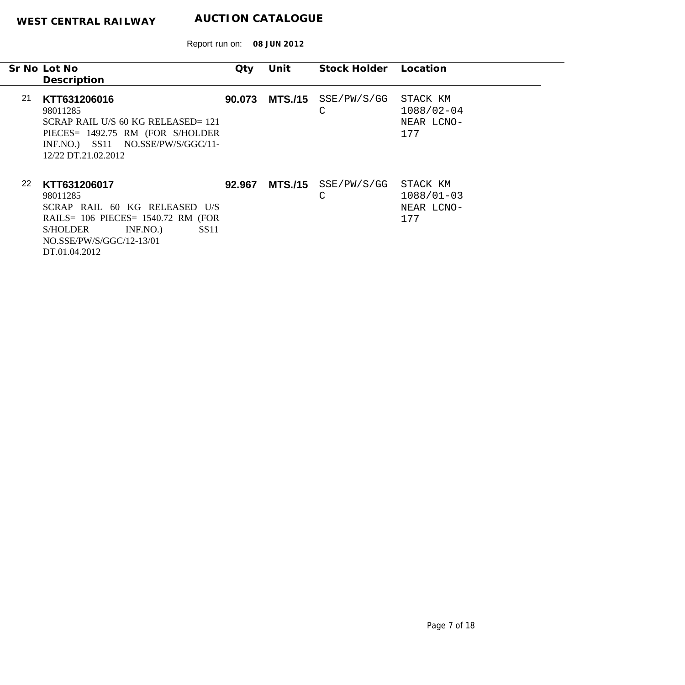|     | Sr No Lot No<br>Description                                                                                                                                                     | Qty    | Unit | Stock Holder Location                 |                                                 |
|-----|---------------------------------------------------------------------------------------------------------------------------------------------------------------------------------|--------|------|---------------------------------------|-------------------------------------------------|
| -21 | KTT631206016<br>98011285<br>SCRAP RAIL U/S 60 KG RELEASED= 121<br>PIECES= 1492.75 RM (FOR S/HOLDER<br>INF.NO.) SS11 NO.SSE/PW/S/GGC/11-<br>12/22 DT.21.02.2012                  | 90.073 |      | $MTS./15$ SSE/PW/S/GG<br>$\mathsf{C}$ | STACK KM<br>$1088/02 - 04$<br>NEAR LCNO-<br>177 |
| 22  | KTT631206017<br>98011285<br>SCRAP RAIL 60 KG RELEASED U/S<br>RAILS= $106$ PIECES= $1540.72$ RM (FOR<br>INF.NO.<br>SS11<br>S/HOLDER<br>NO.SSE/PW/S/GGC/12-13/01<br>DT.01.04.2012 | 92.967 |      | MTS./15 SSE/PW/S/GG<br>С              | STACK KM<br>$1088/01 - 03$<br>NEAR LCNO-<br>177 |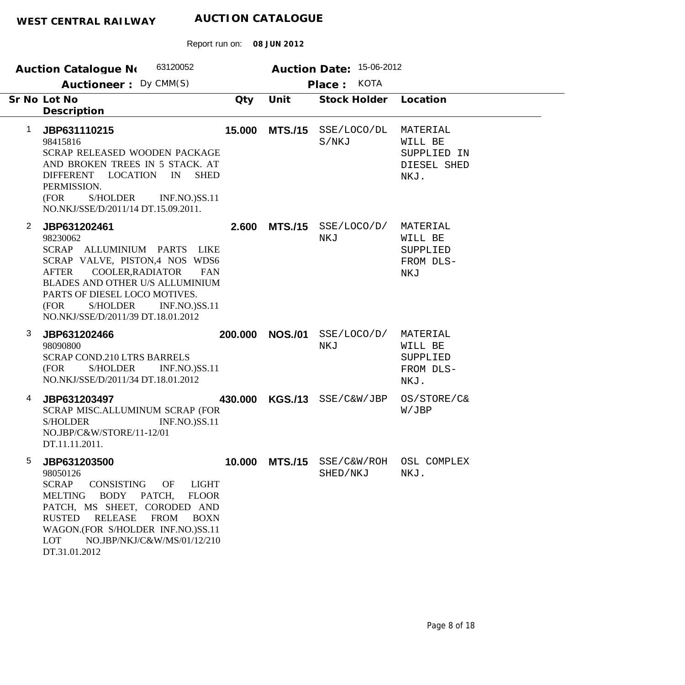|                | 63120052<br><b>Auction Catalogue No</b>                                                                                                                                                                                                                                                           |         |                | Auction Date: 15-06-2012                           |                                                           |
|----------------|---------------------------------------------------------------------------------------------------------------------------------------------------------------------------------------------------------------------------------------------------------------------------------------------------|---------|----------------|----------------------------------------------------|-----------------------------------------------------------|
|                | Auctioneer: Dy CMM(S)                                                                                                                                                                                                                                                                             |         |                | <b>KOTA</b><br>Place:                              |                                                           |
|                | Sr No Lot No<br>Description                                                                                                                                                                                                                                                                       | Qty     | Unit           | <b>Stock Holder</b>                                | Location                                                  |
| 1              | JBP631110215<br>98415816<br>SCRAP RELEASED WOODEN PACKAGE<br>AND BROKEN TREES IN 5 STACK. AT<br>DIFFERENT LOCATION<br>IN<br><b>SHED</b><br>PERMISSION.<br>(FOR<br><b>S/HOLDER</b><br><b>INF.NO.)SS.11</b><br>NO.NKJ/SSE/D/2011/14 DT.15.09.2011.                                                  | 15.000  |                | MTS./15 SSE/LOCO/DL<br>S/NKJ                       | MATERIAL<br>WILL BE<br>SUPPLIED IN<br>DIESEL SHED<br>NKJ. |
| $\overline{2}$ | JBP631202461<br>98230062<br>SCRAP ALLUMINIUM PARTS LIKE<br>SCRAP VALVE, PISTON,4 NOS WDS6<br>COOLER, RADIATOR<br><b>AFTER</b><br><b>FAN</b><br>BLADES AND OTHER U/S ALLUMINIUM<br>PARTS OF DIESEL LOCO MOTIVES.<br>(FOR<br>S/HOLDER<br><b>INF.NO.)SS.11</b><br>NO.NKJ/SSE/D/2011/39 DT.18.01.2012 | 2.600   | <b>MTS./15</b> | SSE/LOCO/D/<br>NKJ                                 | MATERIAL<br>WILL BE<br>SUPPLIED<br>FROM DLS-<br>NKJ       |
| 3              | JBP631202466<br>98090800<br>SCRAP COND.210 LTRS BARRELS<br><b>S/HOLDER</b><br><b>INF.NO.)SS.11</b><br>(FOR<br>NO.NKJ/SSE/D/2011/34 DT.18.01.2012                                                                                                                                                  | 200.000 | <b>NOS./01</b> | SSE/LOCO/D/<br>NKJ                                 | MATERIAL<br>WILL BE<br>SUPPLIED<br>FROM DLS-<br>NKJ.      |
| 4              | JBP631203497<br>SCRAP MISC.ALLUMINUM SCRAP (FOR<br><b>S/HOLDER</b><br>INF.NO.)SS.11<br>NO.JBP/C&W/STORE/11-12/01<br>DT.11.11.2011.                                                                                                                                                                | 430.000 |                | KGS./13 SSE/C&W/JBP                                | OS/STORE/C&<br>W/JBP                                      |
| 5              | JBP631203500<br>98050126<br><b>LIGHT</b><br><b>SCRAP</b><br>CONSISTING<br>OF<br>BODY PATCH,<br><b>FLOOR</b><br>MELTING<br>PATCH, MS SHEET, CORODED AND<br>RELEASE FROM<br>RUSTED<br><b>BOXN</b><br>WAGON.(FOR S/HOLDER INF.NO.)SS.11<br>NO.JBP/NKJ/C&W/MS/01/12/210<br>LOT<br>DT.31.01.2012       |         |                | 10.000 MTS./15 SSE/C&W/ROH OSL COMPLEX<br>SHED/NKJ | NKJ.                                                      |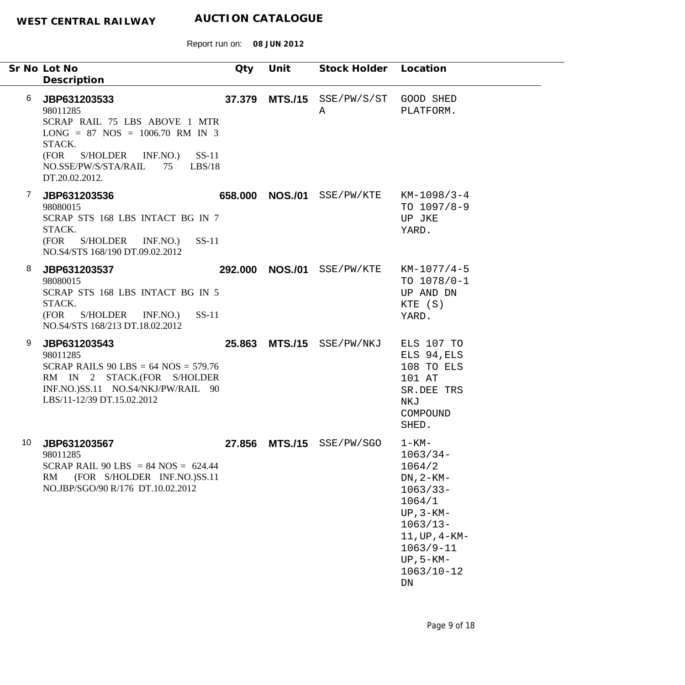|    | Sr No Lot No<br>Description                                                                                                                                                                                   | Qty    | Unit | Stock Holder               | Location                                                                                                                                                                                |
|----|---------------------------------------------------------------------------------------------------------------------------------------------------------------------------------------------------------------|--------|------|----------------------------|-----------------------------------------------------------------------------------------------------------------------------------------------------------------------------------------|
| 6  | JBP631203533<br>98011285<br>SCRAP RAIL 75 LBS ABOVE 1 MTR<br>$LONG = 87 NOS = 1006.70 RM IN 3$<br>STACK.<br>(FOR<br>S/HOLDER<br>INF.NO.)<br>$SS-11$<br>NO.SSE/PW/S/STA/RAIL<br>LBS/18<br>75<br>DT.20.02.2012. | 37.379 |      | $MTS./15$ SSE/PW/S/ST<br>A | GOOD SHED<br>PLATFORM.                                                                                                                                                                  |
| 7  | JBP631203536<br>98080015<br>SCRAP STS 168 LBS INTACT BG IN 7<br>STACK.<br>$SS-11$<br>(FOR<br>S/HOLDER<br>INF.NO.)<br>NO.S4/STS 168/190 DT.09.02.2012                                                          |        |      | 658.000 NOS./01 SSE/PW/KTE | $KM-1098/3-4$<br>TO $1097/8-9$<br>UP JKE<br>YARD.                                                                                                                                       |
| 8  | JBP631203537<br>98080015<br>SCRAP STS 168 LBS INTACT BG IN 5<br>STACK.<br>$SS-11$<br>(FOR<br>S/HOLDER INF.NO.)<br>NO.S4/STS 168/213 DT.18.02.2012                                                             |        |      | 292.000 NOS./01 SSE/PW/KTE | $KM-1077/4-5$<br>TO $1078/0-1$<br>UP AND DN<br>KTE (S)<br>YARD.                                                                                                                         |
| 9  | JBP631203543<br>98011285<br>SCRAP RAILS 90 LBS = $64$ NOS = $579.76$<br>RM IN 2 STACK.(FOR S/HOLDER<br>INF.NO.)SS.11 NO.S4/NKJ/PW/RAIL 90<br>LBS/11-12/39 DT.15.02.2012                                       |        |      | 25.863 MTS./15 SSE/PW/NKJ  | ELS 107 TO<br>ELS 94, ELS<br>108 TO ELS<br>101 AT<br>SR.DEE TRS<br>NKJ<br>COMPOUND<br>SHED.                                                                                             |
| 10 | JBP631203567<br>98011285<br>SCRAP RAIL 90 LBS = 84 NOS = $624.44$<br>(FOR S/HOLDER INF.NO.)SS.11<br>RM<br>NO.JBP/SGO/90 R/176 DT.10.02.2012                                                                   | 27.856 |      | MTS./15 SSE/PW/SGO         | $1 - KM -$<br>$1063/34-$<br>1064/2<br>$DN, 2-KM-$<br>$1063/33 -$<br>1064/1<br>$UP, 3-KM-$<br>$1063/13-$<br>$11,$ UP, $4 - KM -$<br>$1063/9 - 11$<br>$UP, 5-KM-$<br>$1063/10 - 12$<br>DN |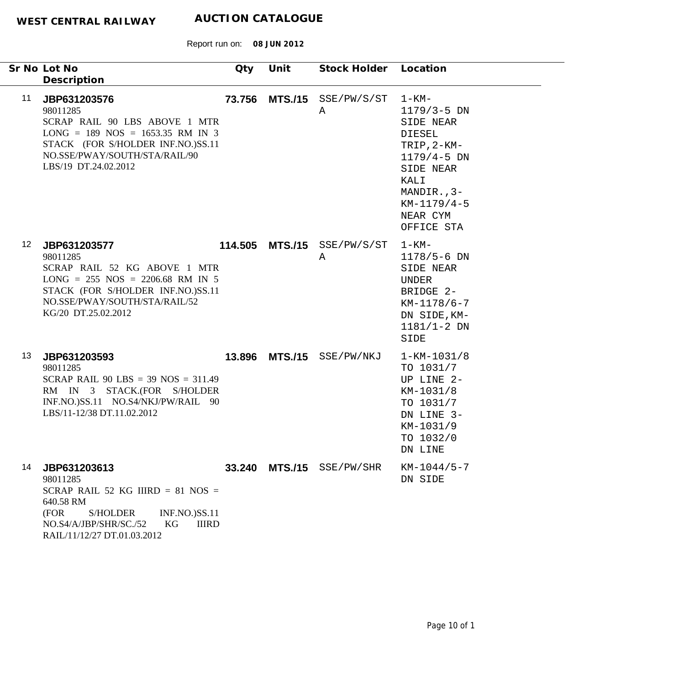| Sr No Lot No<br>Description                                                                                                                                                                                          | Qty | Unit | Stock Holder Location            |                                                                                                                                                                           |
|----------------------------------------------------------------------------------------------------------------------------------------------------------------------------------------------------------------------|-----|------|----------------------------------|---------------------------------------------------------------------------------------------------------------------------------------------------------------------------|
| 11<br>JBP631203576<br>98011285<br>SCRAP RAIL 90 LBS ABOVE 1 MTR<br>$LONG = 189 NOS = 1653.35 RM IN 3$<br>STACK (FOR S/HOLDER INF.NO.)SS.11<br>NO.SSE/PWAY/SOUTH/STA/RAIL/90<br>LBS/19 DT.24.02.2012                  |     |      | 73.756 MTS./15 SSE/PW/S/ST<br>Α  | 1-KM-<br>$1179/3 - 5$ DN<br>SIDE NEAR<br><b>DIESEL</b><br>TRIP, $2-KM-$<br>$1179/4 - 5$ DN<br>SIDE NEAR<br>KALI<br>MANDIR., 3-<br>$KM-1179/4-5$<br>NEAR CYM<br>OFFICE STA |
| 12 <sup>°</sup><br>JBP631203577<br>98011285<br>SCRAP RAIL 52 KG ABOVE 1 MTR<br>$LONG = 255 NOS = 2206.68 RM IN 5$<br>STACK (FOR S/HOLDER INF.NO.)SS.11<br>NO.SSE/PWAY/SOUTH/STA/RAIL/52<br>KG/20 DT.25.02.2012       |     |      | 114.505 MTS./15 SSE/PW/S/ST<br>Α | $1 - KM -$<br>$1178/5 - 6$ DN<br>SIDE NEAR<br>UNDER<br>BRIDGE 2-<br>$KM-1178/6-7$<br>DN SIDE, KM-<br>$1181/1 - 2 DN$<br>SIDE                                              |
| 13<br>JBP631203593<br>98011285<br>SCRAP RAIL 90 LBS = $39$ NOS = $311.49$<br>RM IN 3 STACK.(FOR S/HOLDER<br>INF.NO.)SS.11 NO.S4/NKJ/PW/RAIL 90<br>LBS/11-12/38 DT.11.02.2012                                         |     |      | 13.896 MTS./15 SSE/PW/NKJ        | $1 - KM - 1031/8$<br>TO 1031/7<br>UP LINE 2-<br>KM-1031/8<br>TO 1031/7<br>DN LINE 3-<br>KM-1031/9<br>TO 1032/0<br>DN LINE                                                 |
| 14<br>JBP631203613<br>98011285<br>SCRAP RAIL 52 KG IIIRD = $81$ NOS =<br>640.58 RM<br><b>INF.NO.)SS.11</b><br>(FOR<br><b>S/HOLDER</b><br>KG<br>NO.S4/A/JBP/SHR/SC./52<br><b>IIIRD</b><br>RAIL/11/12/27 DT.01.03.2012 |     |      | 33.240 MTS./15 SSE/PW/SHR        | $KM-1044/5-7$<br>DN SIDE                                                                                                                                                  |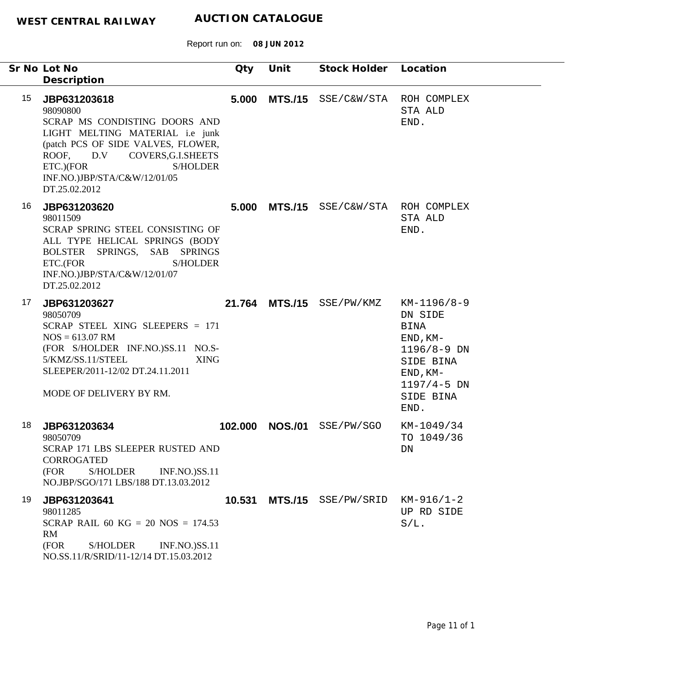|                  | Sr No Lot No<br>Description                                                                                                                                                                                                                         | Qty    | Unit            | Stock Holder Location                 |                                                                                                                                           |
|------------------|-----------------------------------------------------------------------------------------------------------------------------------------------------------------------------------------------------------------------------------------------------|--------|-----------------|---------------------------------------|-------------------------------------------------------------------------------------------------------------------------------------------|
| 15 <sub>15</sub> | JBP631203618<br>98090800<br>SCRAP MS CONDISTING DOORS AND<br>LIGHT MELTING MATERIAL i.e junk<br>(patch PCS OF SIDE VALVES, FLOWER,<br>ROOF, D.V COVERS, G.I.SHEETS<br>ETC.)(FOR<br><b>S/HOLDER</b><br>INF.NO.)JBP/STA/C&W/12/01/05<br>DT.25.02.2012 |        |                 | 5.000 MTS./15 SSE/C&W/STA ROH COMPLEX | STA ALD<br>END.                                                                                                                           |
| 16               | JBP631203620<br>98011509<br>SCRAP SPRING STEEL CONSISTING OF<br>ALL TYPE HELICAL SPRINGS (BODY<br>BOLSTER SPRINGS, SAB SPRINGS<br>ETC.(FOR<br><b>S/HOLDER</b><br>INF.NO.)JBP/STA/C&W/12/01/07<br>DT.25.02.2012                                      |        |                 | 5.000 MTS./15 SSE/C&W/STA ROH COMPLEX | STA ALD<br>END.                                                                                                                           |
| 17               | JBP631203627<br>98050709<br>SCRAP STEEL XING SLEEPERS = 171<br>$NOS = 613.07$ RM<br>(FOR S/HOLDER INF.NO.)SS.11 NO.S-<br>5/KMZ/SS.11/STEEL<br><b>XING</b><br>SLEEPER/2011-12/02 DT.24.11.2011<br>MODE OF DELIVERY BY RM.                            |        |                 | 21.764 MTS./15 SSE/PW/KMZ             | KM-1196/8-9<br>DN SIDE<br><b>BINA</b><br>$END, KM-$<br>$1196/8 - 9$ DN<br>SIDE BINA<br>$END, KM-$<br>$1197/4 - 5$ DN<br>SIDE BINA<br>END. |
| 18               | JBP631203634<br>98050709<br>SCRAP 171 LBS SLEEPER RUSTED AND<br><b>CORROGATED</b><br>(FOR<br><b>S/HOLDER</b><br><b>INF.NO.)SS.11</b><br>NO.JBP/SGO/171 LBS/188 DT.13.03.2012                                                                        |        | 102.000 NOS./01 | SSE/PW/SGO                            | KM-1049/34<br>TO 1049/36<br>DN                                                                                                            |
| 19               | JBP631203641<br>98011285<br>SCRAP RAIL 60 KG = 20 NOS = $174.53$<br>RM<br>(FOR<br><b>S/HOLDER</b><br><b>INF.NO.)SS.11</b><br>NO.SS.11/R/SRID/11-12/14 DT.15.03.2012                                                                                 | 10.531 |                 | MTS./15 SSE/PW/SRID                   | $KM-916/1-2$<br>UP RD SIDE<br>$S/L$ .                                                                                                     |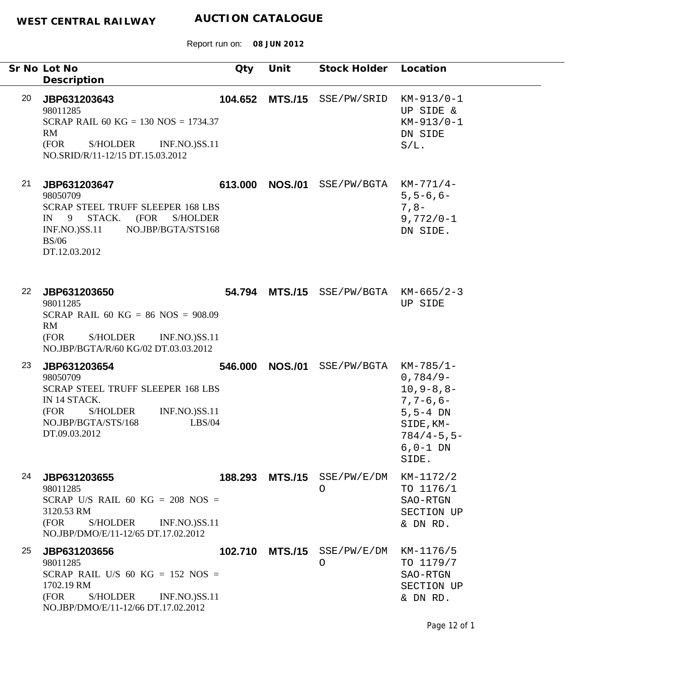|    | Sr No Lot No<br>Description                                                                                                                                                                          | Qty     | Unit           | Stock Holder Location                 |                                                                                                                                            |
|----|------------------------------------------------------------------------------------------------------------------------------------------------------------------------------------------------------|---------|----------------|---------------------------------------|--------------------------------------------------------------------------------------------------------------------------------------------|
| 20 | JBP631203643<br>98011285<br>SCRAP RAIL 60 KG = 130 NOS = 1734.37<br>RM<br>S/HOLDER<br>(FOR<br><b>INF.NO.)SS.11</b><br>NO.SRID/R/11-12/15 DT.15.03.2012                                               |         |                | 104.652 MTS./15 SSE/PW/SRID           | $KM-913/0-1$<br>UP SIDE &<br>$KM-913/0-1$<br>DN SIDE<br>$S/L$ .                                                                            |
| 21 | JBP631203647<br>98050709<br><b>SCRAP STEEL TRUFF SLEEPER 168 LBS</b><br>STACK.<br>(FOR<br>$IN \t9$<br><b>S/HOLDER</b><br>NO.JBP/BGTA/STS168<br><b>INF.NO.)SS.11</b><br><b>BS/06</b><br>DT.12.03.2012 | 613.000 | <b>NOS./01</b> | SSE/PW/BGTA                           | $KM-771/4-$<br>$5, 5 - 6, 6 -$<br>$7, 8-$<br>$9,772/0 - 1$<br>DN SIDE.                                                                     |
| 22 | JBP631203650<br>98011285<br>SCRAP RAIL 60 KG = 86 NOS = $908.09$<br>RM<br>S/HOLDER<br><b>INF.NO.)SS.11</b><br>(FOR<br>NO.JBP/BGTA/R/60 KG/02 DT.03.03.2012                                           |         |                | 54.794 MTS./15 SSE/PW/BGTA KM-665/2-3 | UP SIDE                                                                                                                                    |
| 23 | JBP631203654<br>98050709<br><b>SCRAP STEEL TRUFF SLEEPER 168 LBS</b><br>IN 14 STACK.<br>(FOR<br>S/HOLDER<br><b>INF.NO.)SS.11</b><br>NO.JBP/BGTA/STS/168<br>LBS/04<br>DT.09.03.2012                   | 546.000 | <b>NOS./01</b> | SSE/PW/BGTA                           | $KM-785/1-$<br>$0,784/9-$<br>$10, 9 - 8, 8 -$<br>$7, 7 - 6, 6 -$<br>$5, 5 - 4$ DN<br>SIDE, KM-<br>$784/4 - 5, 5 -$<br>$6, 0-1$ DN<br>SIDE. |
| 24 | JBP631203655<br>98011285<br>SCRAP U/S RAIL 60 KG = $208$ NOS =<br>3120.53 RM<br>(FOR<br>S/HOLDER<br><b>INF.NO.)SS.11</b><br>NO.JBP/DMO/E/11-12/65 DT.17.02.2012                                      |         |                | 188.293 MTS./15 SSE/PW/E/DM<br>O      | KM-1172/2<br>TO 1176/1<br>SAO-RTGN<br>SECTION UP<br>& DN RD.                                                                               |
| 25 | JBP631203656<br>98011285<br>SCRAP RAIL U/S 60 KG = 152 NOS =<br>1702.19 RM<br>(FOR<br><b>S/HOLDER</b><br><b>INF.NO.)SS.11</b><br>NO.JBP/DMO/E/11-12/66 DT.17.02.2012                                 |         |                | 102.710 MTS./15 SSE/PW/E/DM<br>O      | KM-1176/5<br>TO 1179/7<br>SAO-RTGN<br>SECTION UP<br>& DN RD.                                                                               |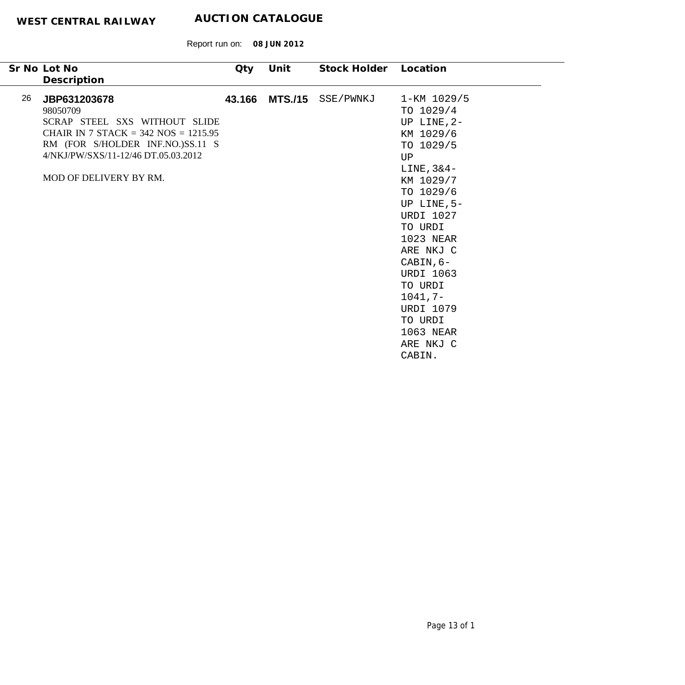|    | Sr No Lot No                                                                                                                                                                                               | Qty    | Unit           | Stock Holder | Location                                                                                                                                                                                                                                                                                                     |
|----|------------------------------------------------------------------------------------------------------------------------------------------------------------------------------------------------------------|--------|----------------|--------------|--------------------------------------------------------------------------------------------------------------------------------------------------------------------------------------------------------------------------------------------------------------------------------------------------------------|
|    | Description                                                                                                                                                                                                |        |                |              |                                                                                                                                                                                                                                                                                                              |
| 26 | JBP631203678<br>98050709<br>SCRAP STEEL SXS WITHOUT SLIDE<br>CHAIR IN 7 STACK = $342$ NOS = $1215.95$<br>RM (FOR S/HOLDER INF.NO.)SS.11 S<br>4/NKJ/PW/SXS/11-12/46 DT.05.03.2012<br>MOD OF DELIVERY BY RM. | 43.166 | <b>MTS./15</b> | SSE/PWNKJ    | 1-KM 1029/5<br>TO 1029/4<br>UP LINE, 2-<br>KM 1029/6<br>TO 1029/5<br>UP<br>$LINE, 3&4-$<br>KM 1029/7<br>TO 1029/6<br>UP LINE, 5-<br><b>URDI 1027</b><br>TO URDI<br>1023 NEAR<br>ARE NKJ C<br>CABIN, 6-<br><b>URDI 1063</b><br>TO URDI<br>$1041, 7-$<br><b>URDI 1079</b><br>TO URDI<br>1063 NEAR<br>ARE NKJ C |
|    |                                                                                                                                                                                                            |        |                |              | CABIN.                                                                                                                                                                                                                                                                                                       |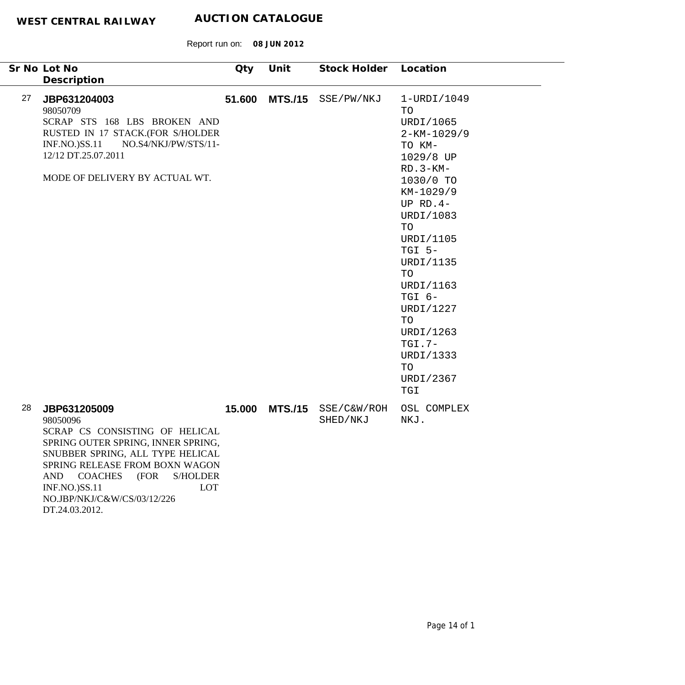|    | Sr No Lot No<br>Description                                                                                                                                                                                                                                                                                       | Qty    | Unit | Stock Holder                           | Location                                                                                                                                                                                                                                                                                                |
|----|-------------------------------------------------------------------------------------------------------------------------------------------------------------------------------------------------------------------------------------------------------------------------------------------------------------------|--------|------|----------------------------------------|---------------------------------------------------------------------------------------------------------------------------------------------------------------------------------------------------------------------------------------------------------------------------------------------------------|
| 27 | JBP631204003<br>98050709<br>SCRAP STS 168 LBS BROKEN AND<br>RUSTED IN 17 STACK.(FOR S/HOLDER<br>$INF.NO.$ ) $SS.11$<br>NO.S4/NKJ/PW/STS/11-<br>12/12 DT.25.07.2011<br>MODE OF DELIVERY BY ACTUAL WT.                                                                                                              | 51.600 |      | MTS./15 SSE/PW/NKJ                     | 1-URDI/1049<br>TO<br>URDI/1065<br>$2 - KM - 1029/9$<br>TO KM-<br>1029/8 UP<br>$RD.3-KM-$<br>1030/0 TO<br>KM-1029/9<br>UP $RD.4-$<br>URDI/1083<br>TO<br>URDI/1105<br>TGI 5-<br>URDI/1135<br>TO<br>URDI/1163<br>TGI 6-<br>URDI/1227<br>TO<br>URDI/1263<br>$TGI.7-$<br>URDI/1333<br>TO<br>URDI/2367<br>TGI |
| 28 | JBP631205009<br>98050096<br>SCRAP CS CONSISTING OF HELICAL<br>SPRING OUTER SPRING, INNER SPRING,<br>SNUBBER SPRING, ALL TYPE HELICAL<br>SPRING RELEASE FROM BOXN WAGON<br><b>COACHES</b><br><b>S/HOLDER</b><br><b>AND</b><br>(FOR<br>LOT<br><b>INF.NO.)SS.11</b><br>NO.JBP/NKJ/C&W/CS/03/12/226<br>DT.24.03.2012. |        |      | 15.000 MTS./15 SSE/C&W/ROH<br>SHED/NKJ | OSL COMPLEX<br>NKJ.                                                                                                                                                                                                                                                                                     |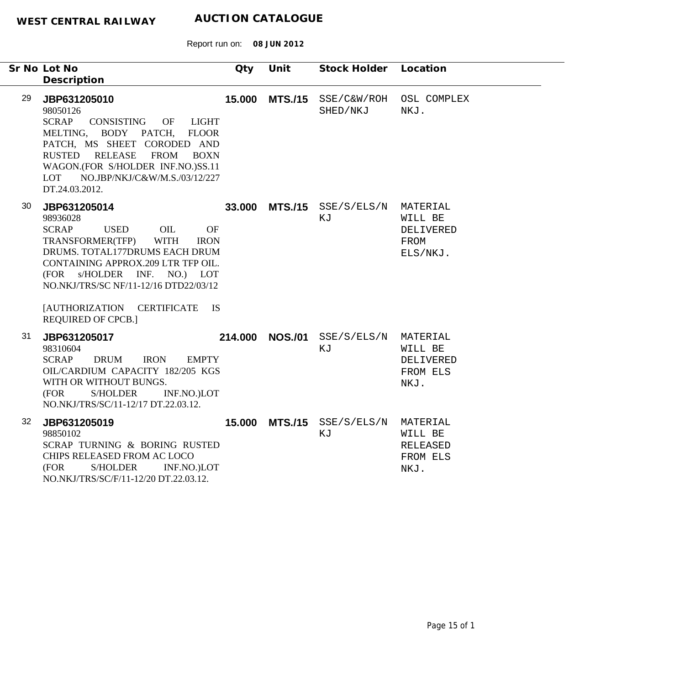|    | Sr No Lot No                                                                                                                                                                                                                                                                                                                                   | Qty    | Unit            | Stock Holder                                | Location                                                   |
|----|------------------------------------------------------------------------------------------------------------------------------------------------------------------------------------------------------------------------------------------------------------------------------------------------------------------------------------------------|--------|-----------------|---------------------------------------------|------------------------------------------------------------|
| 29 | Description<br>JBP631205010<br>98050126<br><b>SCRAP</b><br>CONSISTING<br>OF<br>LIGHT<br>MELTING, BODY PATCH, FLOOR<br>PATCH, MS SHEET CORODED AND<br>RUSTED RELEASE<br>FROM BOXN<br>WAGON.(FOR S/HOLDER INF.NO.)SS.11<br>LOT NO.JBP/NKJ/C&W/M.S./03/12/227<br>DT.24.03.2012.                                                                   | 15.000 |                 | MTS./15 SSE/C&W/ROH OSL COMPLEX<br>SHED/NKJ | NKJ.                                                       |
| 30 | JBP631205014<br>98936028<br><b>SCRAP</b><br><b>USED</b><br>OIL<br><b>OF</b><br>TRANSFORMER(TFP)<br>WITH<br><b>IRON</b><br>DRUMS. TOTAL177DRUMS EACH DRUM<br>CONTAINING APPROX.209 LTR TFP OIL.<br>(FOR s/HOLDER INF. NO.) LOT<br>NO.NKJ/TRS/SC NF/11-12/16 DTD22/03/12<br>[AUTHORIZATION CERTIFICATE<br><b>IS</b><br><b>REQUIRED OF CPCB.]</b> |        |                 | 33.000 MTS./15 SSE/S/ELS/N MATERIAL<br>KJ   | WILL BE<br>DELIVERED<br>FROM<br>ELS/NKJ.                   |
| 31 | JBP631205017<br>98310604<br><b>SCRAP</b><br><b>DRUM</b><br><b>IRON</b><br><b>EMPTY</b><br>OIL/CARDIUM CAPACITY 182/205 KGS<br>WITH OR WITHOUT BUNGS.<br>(FOR<br><b>S/HOLDER</b><br>INF.NO.)LOT<br>NO.NKJ/TRS/SC/11-12/17 DT.22.03.12.                                                                                                          |        | 214.000 NOS./01 | SSE/S/ELS/N<br>KJ                           | MATERIAL<br>WILL BE<br>DELIVERED<br>FROM ELS<br>NKJ.       |
| 32 | JBP631205019<br>98850102<br>SCRAP TURNING & BORING RUSTED<br>CHIPS RELEASED FROM AC LOCO<br>(FOR<br><b>S/HOLDER</b><br>INF.NO.)LOT<br>NO.NKJ/TRS/SC/F/11-12/20 DT.22.03.12.                                                                                                                                                                    | 15.000 |                 | MTS./15 SSE/S/ELS/N<br>ΚJ                   | MATERIAL<br>WILL BE<br><b>RELEASED</b><br>FROM ELS<br>NKJ. |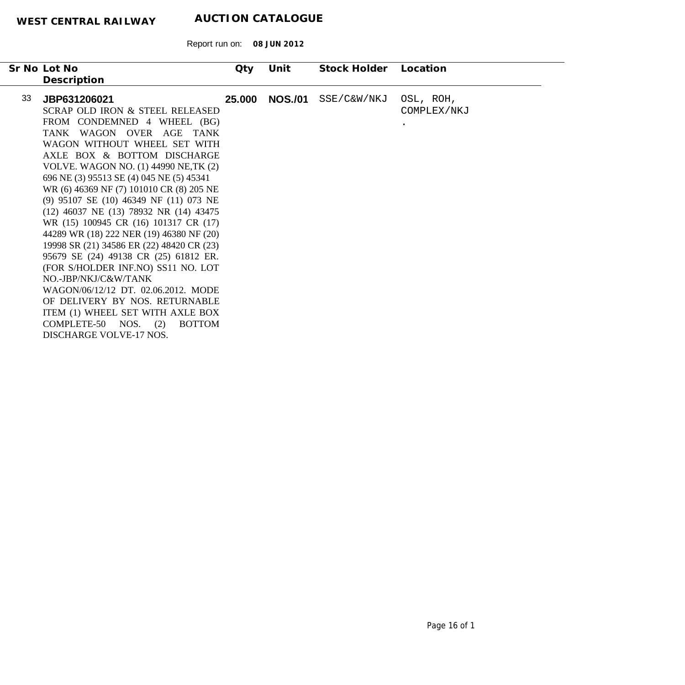|    | Sr No Lot No                              | Qty    | Unit           | Stock Holder | Location    |
|----|-------------------------------------------|--------|----------------|--------------|-------------|
|    | Description                               |        |                |              |             |
| 33 | JBP631206021                              | 25.000 | <b>NOS./01</b> | SSE/C&W/NKJ  | OSL, ROH,   |
|    | SCRAP OLD IRON & STEEL RELEASED           |        |                |              | COMPLEX/NKJ |
|    | FROM CONDEMNED 4 WHEEL (BG)               |        |                |              | $\bullet$   |
|    | TANK WAGON OVER AGE TANK                  |        |                |              |             |
|    | WAGON WITHOUT WHEEL SET WITH              |        |                |              |             |
|    | AXLE BOX & BOTTOM DISCHARGE               |        |                |              |             |
|    | VOLVE. WAGON NO. (1) 44990 NE, TK (2)     |        |                |              |             |
|    | 696 NE (3) 95513 SE (4) 045 NE (5) 45341  |        |                |              |             |
|    | WR (6) 46369 NF (7) 101010 CR (8) 205 NE  |        |                |              |             |
|    | (9) 95107 SE (10) 46349 NF (11) 073 NE    |        |                |              |             |
|    | (12) 46037 NE (13) 78932 NR (14) 43475    |        |                |              |             |
|    | WR (15) 100945 CR (16) 101317 CR (17)     |        |                |              |             |
|    | 44289 WR (18) 222 NER (19) 46380 NF (20)  |        |                |              |             |
|    | 19998 SR (21) 34586 ER (22) 48420 CR (23) |        |                |              |             |
|    | 95679 SE (24) 49138 CR (25) 61812 ER.     |        |                |              |             |
|    | (FOR S/HOLDER INF.NO) SS11 NO. LOT        |        |                |              |             |
|    | NO.-JBP/NKJ/C&W/TANK                      |        |                |              |             |
|    | WAGON/06/12/12 DT. 02.06.2012. MODE       |        |                |              |             |
|    | OF DELIVERY BY NOS. RETURNABLE            |        |                |              |             |
|    | ITEM (1) WHEEL SET WITH AXLE BOX          |        |                |              |             |
|    | COMPLETE-50 NOS.<br>(2)<br><b>BOTTOM</b>  |        |                |              |             |
|    | DISCHARGE VOLVE-17 NOS.                   |        |                |              |             |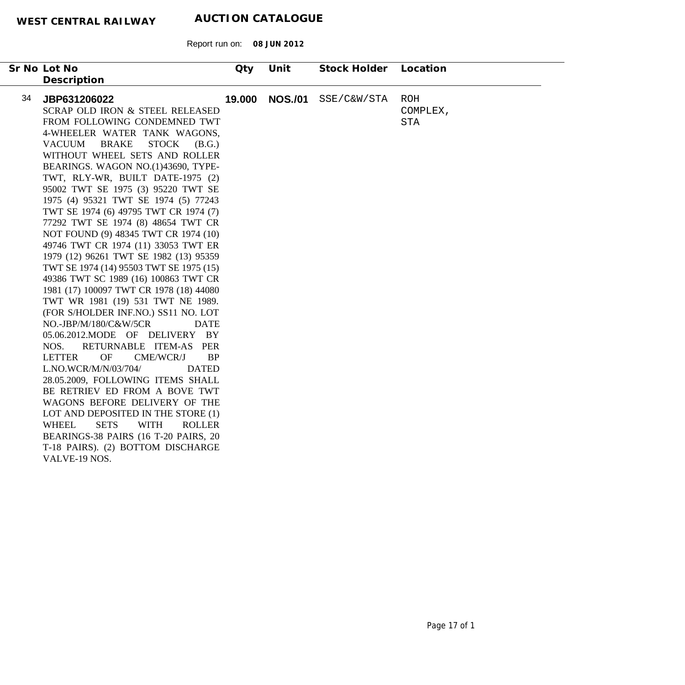| Sr No Lot No<br>Description                                                                                                                                                                                                                                                                                                                                                                                                                                                                                                                                                                                                                                                                                                                                                                                                                                                                                                                                                                                                                                                                                                                                                                                                                                                                                       | Qty    | Unit           | Stock Holder | Location                             |
|-------------------------------------------------------------------------------------------------------------------------------------------------------------------------------------------------------------------------------------------------------------------------------------------------------------------------------------------------------------------------------------------------------------------------------------------------------------------------------------------------------------------------------------------------------------------------------------------------------------------------------------------------------------------------------------------------------------------------------------------------------------------------------------------------------------------------------------------------------------------------------------------------------------------------------------------------------------------------------------------------------------------------------------------------------------------------------------------------------------------------------------------------------------------------------------------------------------------------------------------------------------------------------------------------------------------|--------|----------------|--------------|--------------------------------------|
| 34<br>JBP631206022<br>SCRAP OLD IRON & STEEL RELEASED<br>FROM FOLLOWING CONDEMNED TWT<br>4-WHEELER WATER TANK WAGONS,<br><b>BRAKE</b><br><b>STOCK</b><br><b>VACUUM</b><br>(B.G.)<br>WITHOUT WHEEL SETS AND ROLLER<br>BEARINGS. WAGON NO.(1)43690, TYPE-<br>TWT, RLY-WR, BUILT DATE-1975 (2)<br>95002 TWT SE 1975 (3) 95220 TWT SE<br>1975 (4) 95321 TWT SE 1974 (5) 77243<br>TWT SE 1974 (6) 49795 TWT CR 1974 (7)<br>77292 TWT SE 1974 (8) 48654 TWT CR<br>NOT FOUND (9) 48345 TWT CR 1974 (10)<br>49746 TWT CR 1974 (11) 33053 TWT ER<br>1979 (12) 96261 TWT SE 1982 (13) 95359<br>TWT SE 1974 (14) 95503 TWT SE 1975 (15)<br>49386 TWT SC 1989 (16) 100863 TWT CR<br>1981 (17) 100097 TWT CR 1978 (18) 44080<br>TWT WR 1981 (19) 531 TWT NE 1989.<br>(FOR S/HOLDER INF.NO.) SS11 NO. LOT<br>NO.-JBP/M/180/C&W/5CR<br><b>DATE</b><br>05.06.2012.MODE OF DELIVERY BY<br>RETURNABLE ITEM-AS PER<br>NOS.<br><b>OF</b><br><b>LETTER</b><br>CME/WCR/J<br><b>BP</b><br>L.NO.WCR/M/N/03/704/<br><b>DATED</b><br>28.05.2009, FOLLOWING ITEMS SHALL<br>BE RETRIEV ED FROM A BOVE TWT<br>WAGONS BEFORE DELIVERY OF THE<br>LOT AND DEPOSITED IN THE STORE (1)<br><b>SETS</b><br><b>WITH</b><br><b>WHEEL</b><br><b>ROLLER</b><br>BEARINGS-38 PAIRS (16 T-20 PAIRS, 20<br>T-18 PAIRS). (2) BOTTOM DISCHARGE<br>VALVE-19 NOS. | 19.000 | <b>NOS./01</b> | SSE/C&W/STA  | <b>ROH</b><br>COMPLEX,<br><b>STA</b> |
|                                                                                                                                                                                                                                                                                                                                                                                                                                                                                                                                                                                                                                                                                                                                                                                                                                                                                                                                                                                                                                                                                                                                                                                                                                                                                                                   |        |                |              |                                      |